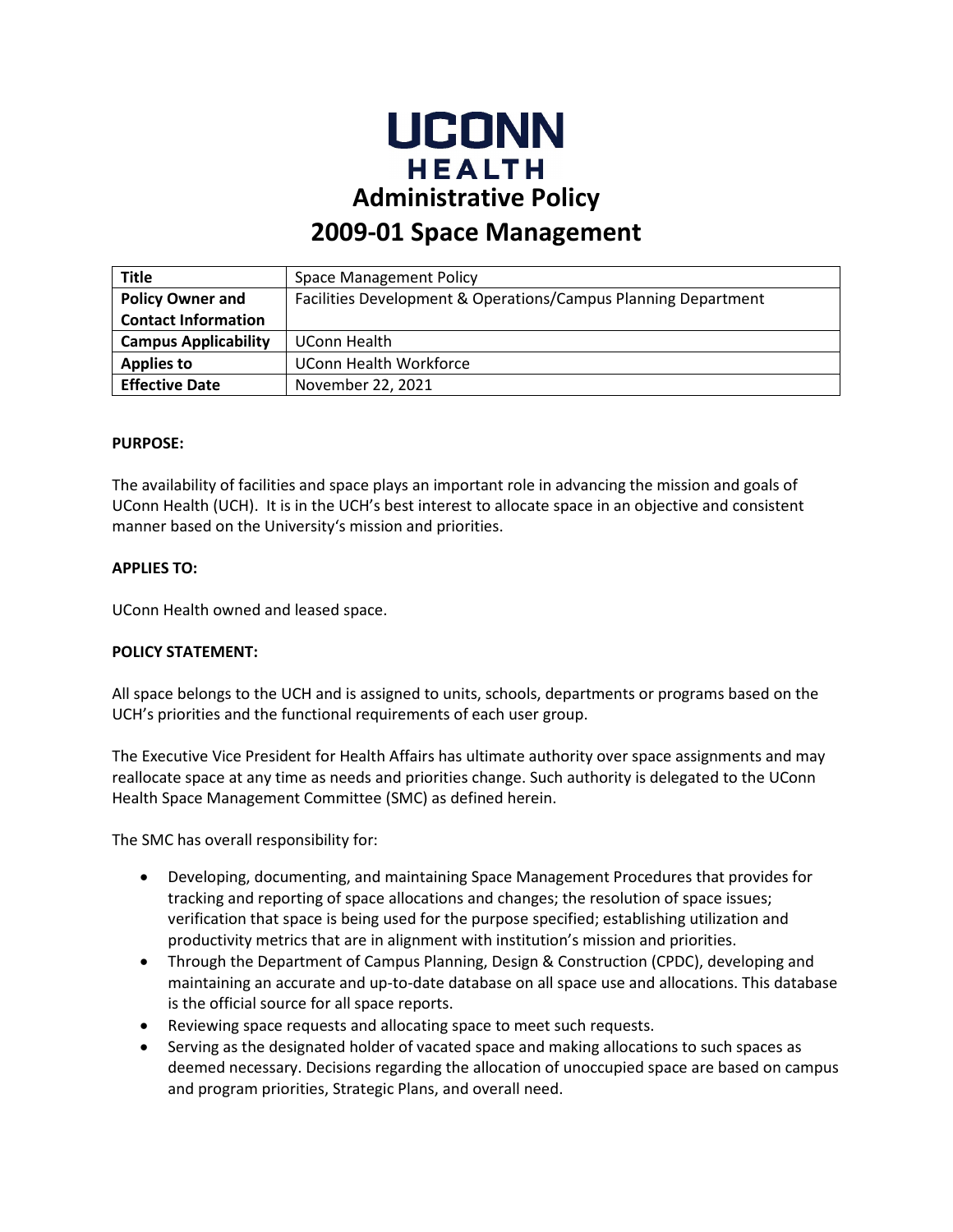

# **2009-01 Space Management**

| <b>Title</b>                | <b>Space Management Policy</b>                                 |
|-----------------------------|----------------------------------------------------------------|
| <b>Policy Owner and</b>     | Facilities Development & Operations/Campus Planning Department |
| <b>Contact Information</b>  |                                                                |
| <b>Campus Applicability</b> | UConn Health                                                   |
| <b>Applies to</b>           | <b>UConn Health Workforce</b>                                  |
| <b>Effective Date</b>       | November 22, 2021                                              |

#### **PURPOSE:**

The availability of facilities and space plays an important role in advancing the mission and goals of UConn Health (UCH). It is in the UCH's best interest to allocate space in an objective and consistent manner based on the University's mission and priorities.

# **APPLIES TO:**

UConn Health owned and leased space.

#### **POLICY STATEMENT:**

All space belongs to the UCH and is assigned to units, schools, departments or programs based on the UCH's priorities and the functional requirements of each user group.

The Executive Vice President for Health Affairs has ultimate authority over space assignments and may reallocate space at any time as needs and priorities change. Such authority is delegated to the UConn Health Space Management Committee (SMC) as defined herein.

The SMC has overall responsibility for:

- Developing, documenting, and maintaining Space Management Procedures that provides for tracking and reporting of space allocations and changes; the resolution of space issues; verification that space is being used for the purpose specified; establishing utilization and productivity metrics that are in alignment with institution's mission and priorities.
- Through the Department of Campus Planning, Design & Construction (CPDC), developing and maintaining an accurate and up-to-date database on all space use and allocations. This database is the official source for all space reports.
- Reviewing space requests and allocating space to meet such requests.
- Serving as the designated holder of vacated space and making allocations to such spaces as deemed necessary. Decisions regarding the allocation of unoccupied space are based on campus and program priorities, Strategic Plans, and overall need.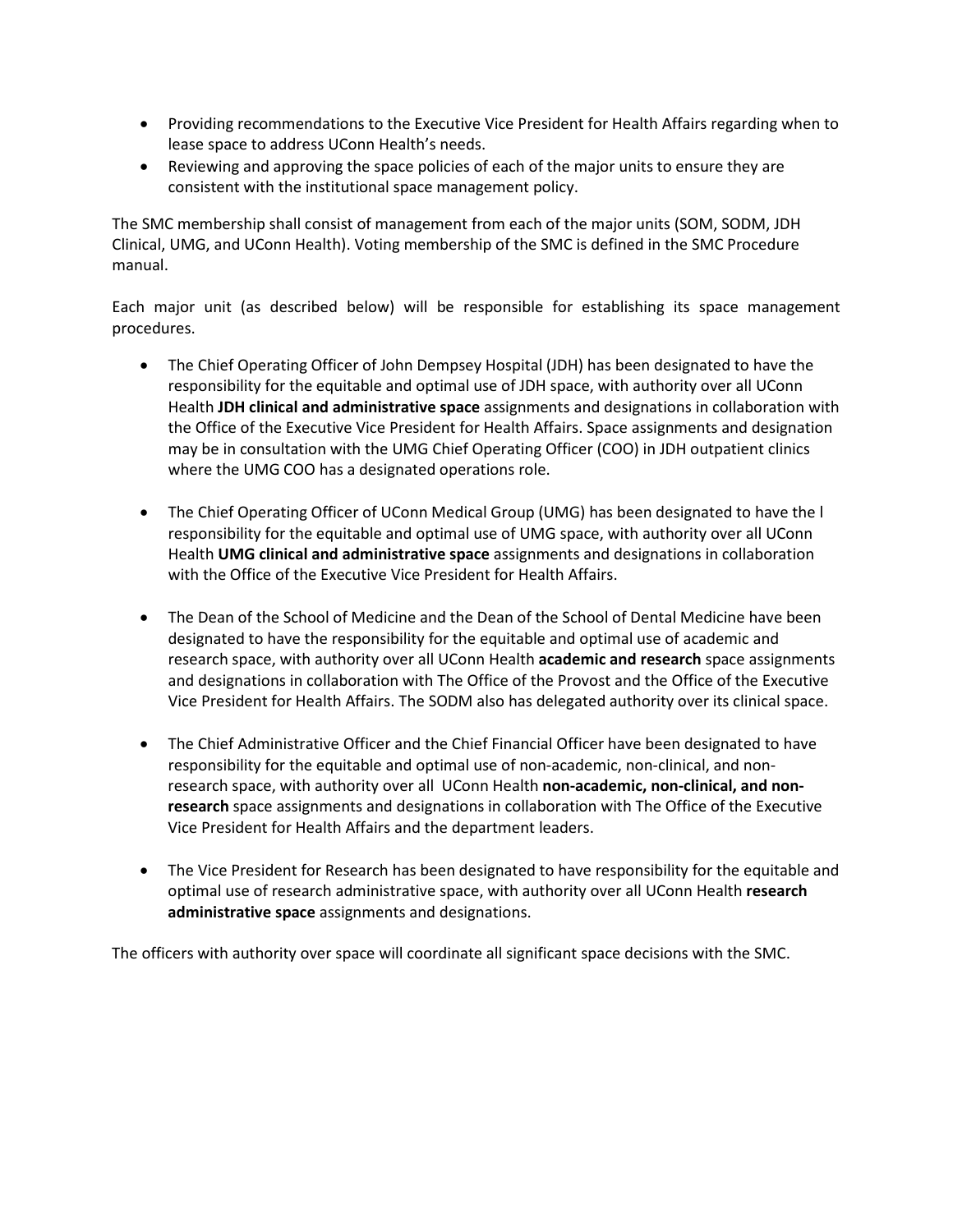- Providing recommendations to the Executive Vice President for Health Affairs regarding when to lease space to address UConn Health's needs.
- Reviewing and approving the space policies of each of the major units to ensure they are consistent with the institutional space management policy.

The SMC membership shall consist of management from each of the major units (SOM, SODM, JDH Clinical, UMG, and UConn Health). Voting membership of the SMC is defined in the SMC Procedure manual.

Each major unit (as described below) will be responsible for establishing its space management procedures.

- The Chief Operating Officer of John Dempsey Hospital (JDH) has been designated to have the responsibility for the equitable and optimal use of JDH space, with authority over all UConn Health **JDH clinical and administrative space** assignments and designations in collaboration with the Office of the Executive Vice President for Health Affairs. Space assignments and designation may be in consultation with the UMG Chief Operating Officer (COO) in JDH outpatient clinics where the UMG COO has a designated operations role.
- The Chief Operating Officer of UConn Medical Group (UMG) has been designated to have the l responsibility for the equitable and optimal use of UMG space, with authority over all UConn Health **UMG clinical and administrative space** assignments and designations in collaboration with the Office of the Executive Vice President for Health Affairs.
- The Dean of the School of Medicine and the Dean of the School of Dental Medicine have been designated to have the responsibility for the equitable and optimal use of academic and research space, with authority over all UConn Health **academic and research** space assignments and designations in collaboration with The Office of the Provost and the Office of the Executive Vice President for Health Affairs. The SODM also has delegated authority over its clinical space.
- The Chief Administrative Officer and the Chief Financial Officer have been designated to have responsibility for the equitable and optimal use of non-academic, non-clinical, and nonresearch space, with authority over all UConn Health **non-academic, non-clinical, and nonresearch** space assignments and designations in collaboration with The Office of the Executive Vice President for Health Affairs and the department leaders.
- The Vice President for Research has been designated to have responsibility for the equitable and optimal use of research administrative space, with authority over all UConn Health **research administrative space** assignments and designations.

The officers with authority over space will coordinate all significant space decisions with the SMC.